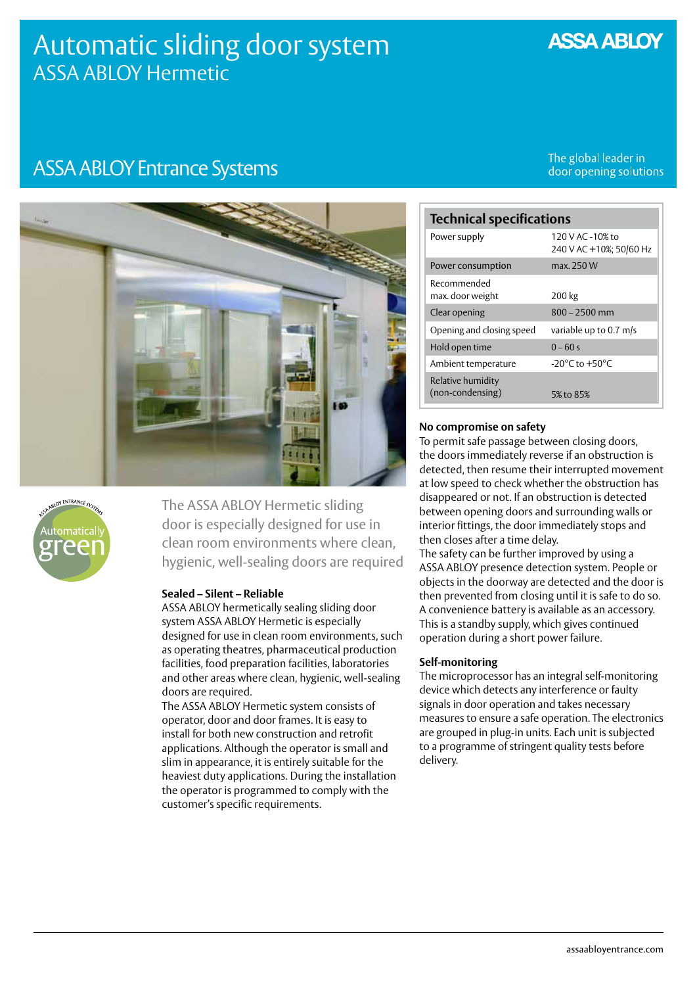# Automatic sliding door system ASSA ABLOY Hermetic

## **ASSA ABLOY**

# **ASSA ABLOY Entrance Systems**

The global leader in door opening solutions





The ASSA ABLOY Hermetic sliding door is especially designed for use in clean room environments where clean, hygienic, well-sealing doors are required

#### **Sealed – Silent – Reliable**

ASSA ABLOY hermetically sealing sliding door system ASSA ABLOY Hermetic is especially designed for use in clean room environments, such as operating theatres, pharmaceutical production facilities, food preparation facilities, laboratories and other areas where clean, hygienic, well-sealing doors are required.

The ASSA ABLOY Hermetic system consists of operator, door and door frames. It is easy to install for both new construction and retrofit applications. Although the operator is small and slim in appearance, it is entirely suitable for the heaviest duty applications. During the installation the operator is programmed to comply with the customer's specific requirements.

| <b>Technical specifications</b>       |                                             |
|---------------------------------------|---------------------------------------------|
| Power supply                          | 120 V AC -10% to<br>240 V AC +10%; 50/60 Hz |
| Power consumption                     | max. 250 W                                  |
| Recommended<br>max. door weight       | 200 kg                                      |
| Clear opening                         | $800 - 2500$ mm                             |
| Opening and closing speed             | variable up to 0.7 m/s                      |
| Hold open time                        | $0 - 60s$                                   |
| Ambient temperature                   | $-20^{\circ}$ C to $+50^{\circ}$ C          |
| Relative humidity<br>(non-condensing) | 5% to 85%                                   |

#### **No compromise on safety**

To permit safe passage between closing doors, the doors immediately reverse if an obstruction is detected, then resume their interrupted movement at low speed to check whether the obstruction has disappeared or not. If an obstruction is detected between opening doors and surrounding walls or interior fittings, the door immediately stops and then closes after a time delay.

The safety can be further improved by using a ASSA ABLOY presence detection system. People or objects in the doorway are detected and the door is then prevented from closing until it is safe to do so. A convenience battery is available as an accessory. This is a standby supply, which gives continued operation during a short power failure.

#### **Self-monitoring**

The microprocessor has an integral self-monitoring device which detects any interference or faulty signals in door operation and takes necessary measures to ensure a safe operation. The electronics are grouped in plug-in units. Each unit is subjected to a programme of stringent quality tests before delivery.